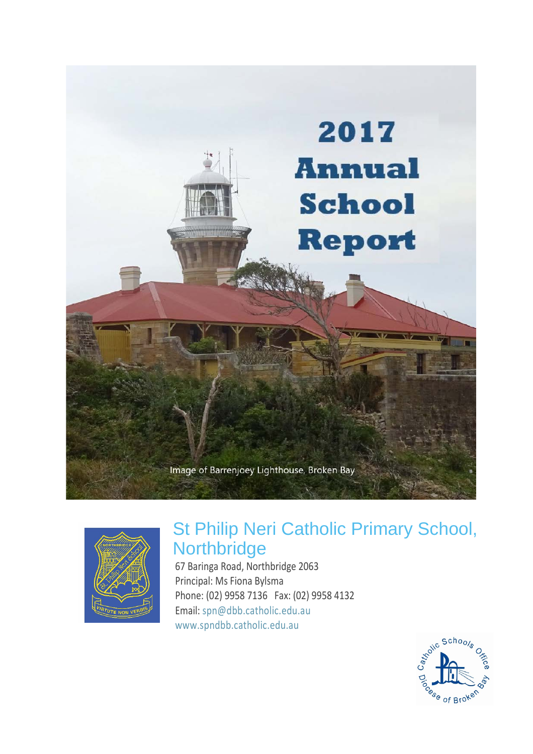



# St Philip Neri Catholic Primary School, **Northbridge**

67 Baringa Road, Northbridge 2063 Principal: Ms Fiona Bylsma Phone: (02) 9958 7136 Fax: (02) 9958 4132 Email: [spn@dbb.catholic.edu.au](mailto:%20spn@dbb.catholic.edu.au) [www.spndbb.catholic.edu.au](https://www.spndbb.catholic.edu.au/)

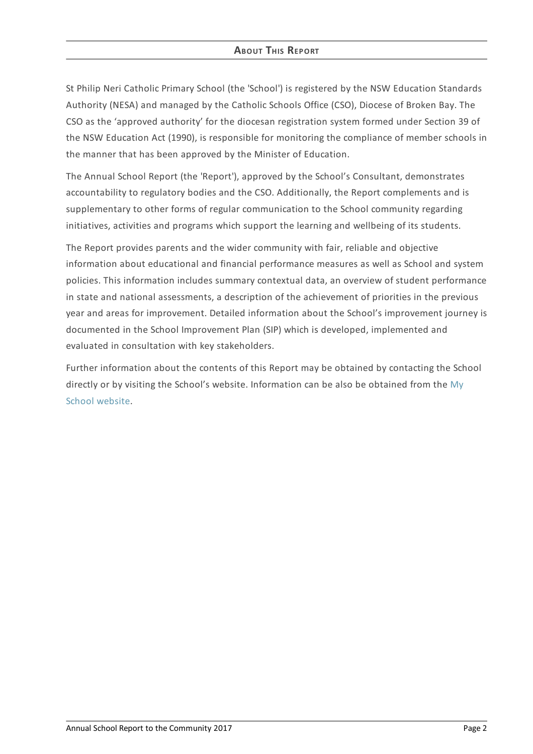# **ABOUT THIS REPORT**

St Philip Neri Catholic Primary School (the 'School') is registered by the NSW Education Standards Authority (NESA) and managed by the Catholic Schools Office (CSO), Diocese of Broken Bay. The CSO as the 'approved authority' for the diocesan registration system formed under Section 39 of the NSW Education Act (1990), is responsible for monitoring the compliance of member schools in the manner that has been approved by the Minister of Education.

The Annual School Report (the 'Report'), approved by the School's Consultant, demonstrates accountability to regulatory bodies and the CSO. Additionally, the Report complements and is supplementary to other forms of regular communication to the School community regarding initiatives, activities and programs which support the learning and wellbeing of its students.

The Report provides parents and the wider community with fair, reliable and objective information about educational and financial performance measures as well as School and system policies. This information includes summary contextual data, an overview of student performance in state and national assessments, a description of the achievement of priorities in the previous year and areas for improvement. Detailed information about the School's improvement journey is documented in the School Improvement Plan (SIP) which is developed, implemented and evaluated in consultation with key stakeholders.

Further information about the contents of this Report may be obtained by contacting the School directly or by visiting the School's website. [Information](http://www.myschool.edu.au/) can be also be obtained from the My School website.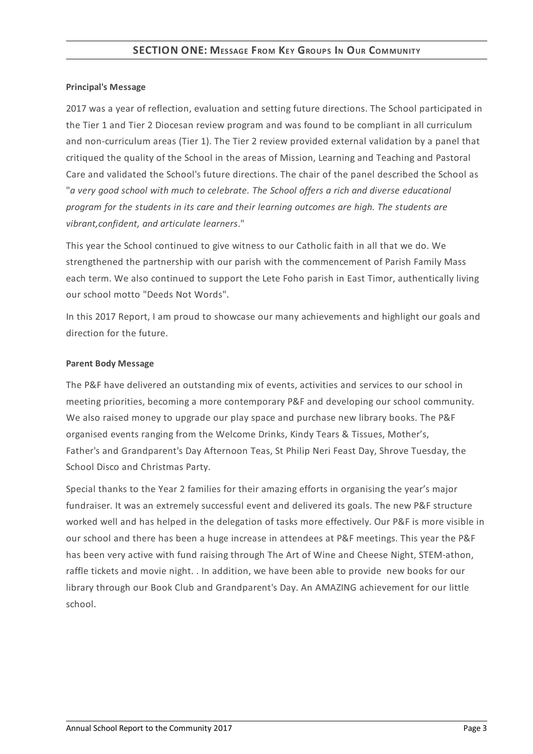## **Principal's Message**

2017 was a year of reflection, evaluation and setting future directions. The School participated in the Tier 1 and Tier 2 Diocesan review program and was found to be compliant in all curriculum and non-curriculum areas (Tier 1). The Tier 2 review provided external validation by a panel that critiqued the quality of the School in the areas of Mission, Learning and Teaching and Pastoral Care and validated the School's future directions. The chair of the panel described the School as "*a very good school with much to celebrate. The School offers a rich and diverse educational program for the students in its care and their learning outcomes are high. The students are vibrant,confident, and articulate learners*."

This year the School continued to give witness to our Catholic faith in all that we do. We strengthened the partnership with our parish with the commencement of Parish Family Mass each term. We also continued to support the Lete Foho parish in East Timor, authentically living our school motto "Deeds Not Words".

In this 2017 Report, I am proud to showcase our many achievements and highlight our goals and direction for the future.

## **Parent Body Message**

The P&F have delivered an outstanding mix of events, activities and services to our school in meeting priorities, becoming a more contemporary P&F and developing our school community. We also raised money to upgrade our play space and purchase new library books. The P&F organised events ranging from the Welcome Drinks, Kindy Tears & Tissues, Mother's, Father's and Grandparent's Day Afternoon Teas, St Philip Neri Feast Day, Shrove Tuesday, the School Disco and Christmas Party.

Special thanks to the Year 2 families for their amazing efforts in organising the year's major fundraiser. It was an extremely successful event and delivered its goals. The new P&F structure worked well and has helped in the delegation of tasks more effectively. Our P&F is more visible in our school and there has been a huge increase in attendees at P&F meetings. This year the P&F has been very active with fund raising through The Art of Wine and Cheese Night, STEM-athon, raffle tickets and movie night. . In addition, we have been able to provide new books for our library through our Book Club and Grandparent's Day. An AMAZING achievement for our little school.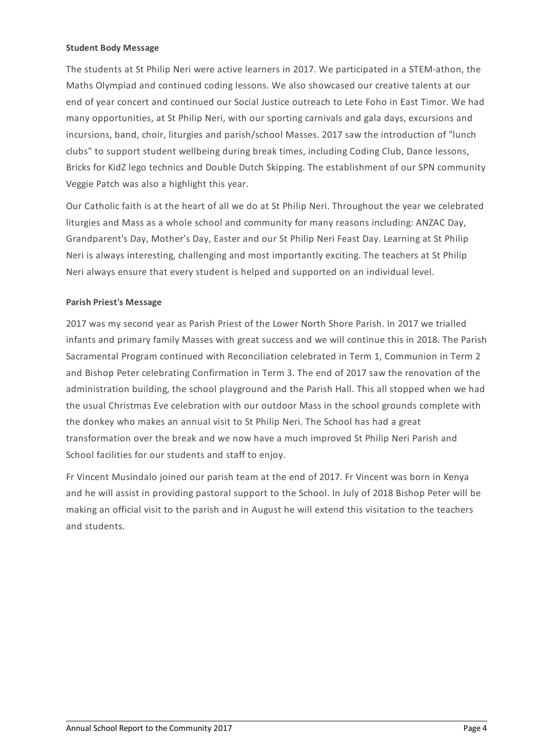## **Student Body Message**

The students at St Philip Neri were active learners in 2017. We participated in a STEM-athon, the Maths Olympiad and continued coding lessons. We also showcased our creative talents at our end of year concert and continued our Social Justice outreach to Lete Foho in East Timor. We had many opportunities, at St Philip Neri, with our sporting carnivals and gala days, excursions and incursions, band, choir, liturgies and parish/school Masses. 2017 saw the introduction of "lunch clubs" to support student wellbeing during break times, including Coding Club, Dance lessons, Bricks for KidZ lego technics and Double Dutch Skipping. The establishment of our SPN community Veggie Patch was also a highlight this year.

Our Catholic faith is at the heart of all we do at St Philip Neri. Throughout the year we celebrated liturgies and Mass as a whole school and community for many reasons including: ANZAC Day, Grandparent's Day, Mother's Day, Easter and our St Philip Neri Feast Day. Learning at St Philip Neri is always interesting, challenging and most importantly exciting. The teachers at St Philip Neri always ensure that every student is helped and supported on an individual level.

## **Parish Priest's Message**

2017 was my second year as Parish Priest of the Lower North Shore Parish. In 2017 we trialled infants and primary family Masses with great success and we will continue this in 2018. The Parish Sacramental Program continued with Reconciliation celebrated in Term 1, Communion in Term 2 and Bishop Peter celebrating Confirmation in Term 3. The end of 2017 saw the renovation of the administration building, the school playground and the Parish Hall. This all stopped when we had the usual Christmas Eve celebration with our outdoor Mass in the school grounds complete with the donkey who makes an annual visit to St Philip Neri. The School has had a great transformation over the break and we now have a much improved St Philip Neri Parish and School facilities for our students and staff to enjoy.

Fr Vincent Musindalo joined our parish team at the end of 2017. Fr Vincent was born in Kenya and he will assist in providing pastoral support to the School. In July of 2018 Bishop Peter will be making an official visit to the parish and in August he will extend this visitation to the teachers and students.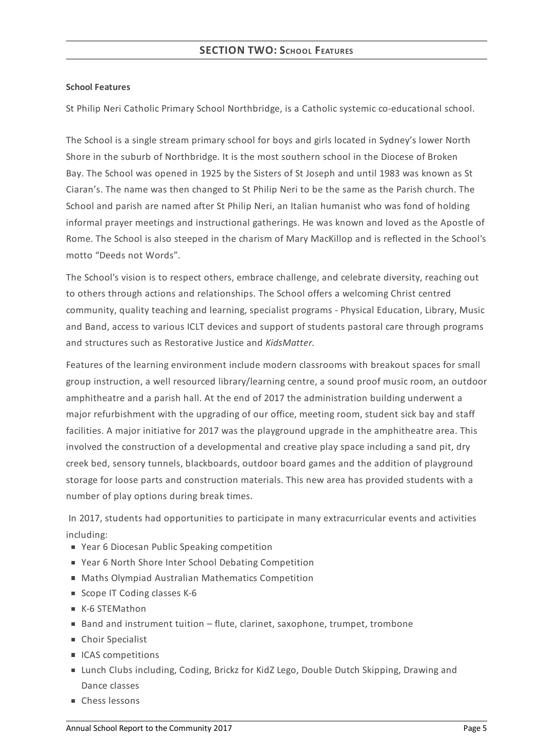## **School Features**

St Philip Neri Catholic Primary School Northbridge, is a Catholic systemic co-educational school.

The School is a single stream primary school for boys and girls located in Sydney's lower North Shore in the suburb of Northbridge. It is the most southern school in the Diocese of Broken Bay. The School was opened in 1925 by the Sisters of St Joseph and until 1983 was known as St Ciaran's. The name was then changed to St Philip Neri to be the same as the Parish church. The School and parish are named after St Philip Neri, an Italian humanist who was fond of holding informal prayer meetings and instructional gatherings. He was known and loved as the Apostle of Rome. The School is also steeped in the charism of Mary MacKillop and is reflected in the School's motto "Deeds not Words".

The School's vision is to respect others, embrace challenge, and celebrate diversity, reaching out to others through actions and relationships. The School offers a welcoming Christ centred community, quality teaching and learning, specialist programs - Physical Education, Library, Music and Band, access to various ICLT devices and support of students pastoral care through programs and structures such as Restorative Justice and *KidsMatter.*

Features of the learning environment include modern classrooms with breakout spaces for small group instruction, a well resourced library/learning centre, a sound proof music room, an outdoor amphitheatre and a parish hall. At the end of 2017 the administration building underwent a major refurbishment with the upgrading of our office, meeting room, student sick bay and staff facilities. A major initiative for 2017 was the playground upgrade in the amphitheatre area. This involved the construction of a developmental and creative play space including a sand pit, dry creek bed, sensory tunnels, blackboards, outdoor board games and the addition of playground storage for loose parts and construction materials. This new area has provided students with a number of play options during break times.

In 2017, students had opportunities to participate in many extracurricular events and activities including:

- Year 6 Diocesan Public Speaking competition
- Year 6 North Shore Inter School Debating Competition
- Maths Olympiad Australian Mathematics Competition
- Scope IT Coding classes K-6
- K-6 STEMathon
- Band and instrument tuition flute, clarinet, saxophone, trumpet, trombone
- Choir Specialist
- ICAS competitions
- Lunch Clubs including, Coding, Brickz for KidZ Lego, Double Dutch Skipping, Drawing and Dance classes
- Chess lessons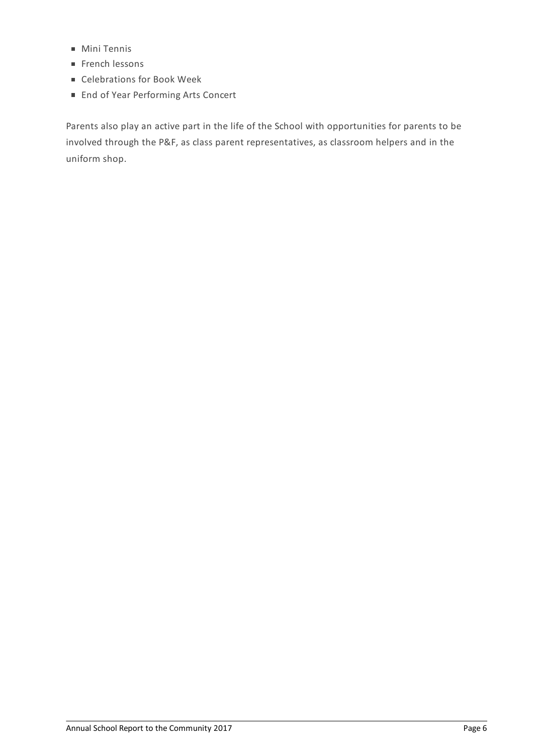- Mini Tennis
- French lessons
- Celebrations for Book Week
- End of Year Performing Arts Concert

Parents also play an active part in the life of the School with opportunities for parents to be involved through the P&F, as class parent representatives, as classroom helpers and in the uniform shop.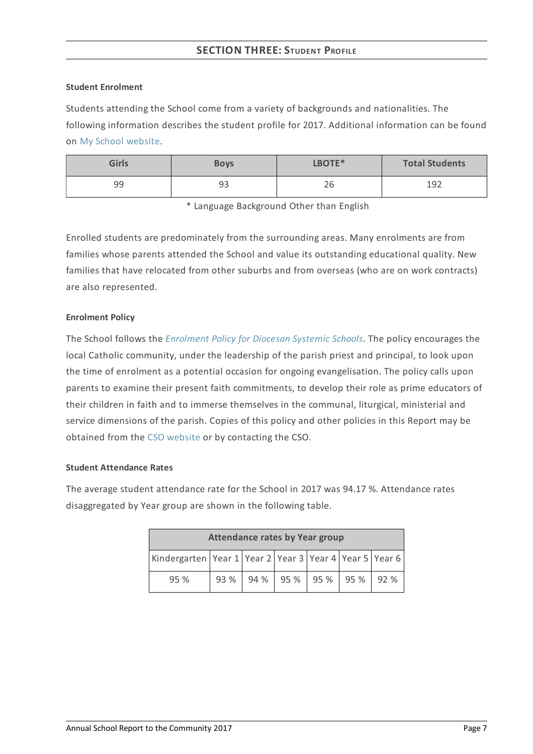# **SECTION THREE: STUDENT PROFILE**

#### **Student Enrolment**

Students attending the School come from a variety of backgrounds and nationalities. The following information describes the student profile for 2017. Additional information can be found on My School [website](http://www.myschool.edu.au/).

| <b>Girls</b> | <b>Boys</b> | LBOTE* | <b>Total Students</b> |
|--------------|-------------|--------|-----------------------|
| 99           | 93          | 26     | 192                   |

\* Language Background Other than English

Enrolled students are predominately from the surrounding areas. Many enrolments are from families whose parents attended the School and value its outstanding educational quality. New families that have relocated from other suburbs and from overseas (who are on work contracts) are also represented.

## **Enrolment Policy**

The School follows the *[Enrolment](https://www.csodbb.catholic.edu.au/about/dsp-collection.cfm?loadref=125) Policy for Diocesan Systemic Schools*. The policy encourages the local Catholic community, under the leadership of the parish priest and principal, to look upon the time of enrolment as a potential occasion for ongoing evangelisation. The policy calls upon parents to examine their present faith commitments, to develop their role as prime educators of their children in faith and to immerse themselves in the communal, liturgical, ministerial and service dimensions of the parish. Copies of this policy and other policies in this Report may be obtained from the CSO [website](https://www.csodbb.catholic.edu.au/index.cfm) or by contacting the CSO.

#### **Student Attendance Rates**

The average student attendance rate for the School in 2017 was 94.17 %. Attendance rates disaggregated by Year group are shown in the following table.

| <b>Attendance rates by Year group</b>                              |  |  |                          |  |  |     |
|--------------------------------------------------------------------|--|--|--------------------------|--|--|-----|
| Kindergarten   Year 1   Year 2   Year 3   Year 4   Year 5   Year 6 |  |  |                          |  |  |     |
| 95%                                                                |  |  | 93 % 94 % 95 % 95 % 95 % |  |  | 92% |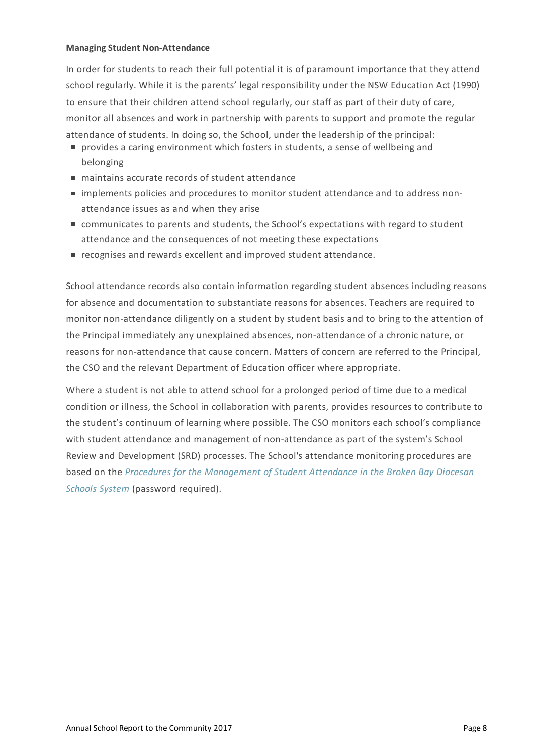#### **Managing Student Non-Attendance**

In order for students to reach their full potential it is of paramount importance that they attend school regularly. While it is the parents' legal responsibility under the NSW Education Act (1990) to ensure that their children attend school regularly, our staff as part of their duty of care, monitor all absences and work in partnership with parents to support and promote the regular attendance of students. In doing so, the School, under the leadership of the principal:

- provides a caring environment which fosters in students, a sense of wellbeing and belonging
- maintains accurate records of student attendance
- implements policies and procedures to monitor student attendance and to address nonattendance issues as and when they arise
- communicates to parents and students, the School's expectations with regard to student attendance and the consequences of not meeting these expectations
- recognises and rewards excellent and improved student attendance.

School attendance records also contain information regarding student absences including reasons for absence and documentation to substantiate reasons for absences. Teachers are required to monitor non-attendance diligently on a student by student basis and to bring to the attention of the Principal immediately any unexplained absences, non-attendance of a chronic nature, or reasons for non-attendance that cause concern. Matters of concern are referred to the Principal, the CSO and the relevant Department of Education officer where appropriate.

Where a student is not able to attend school for a prolonged period of time due to a medical condition or illness, the School in collaboration with parents, provides resources to contribute to the student's continuum of learning where possible. The CSO monitors each school's compliance with student attendance and management of non-attendance as part of the system's School Review and Development (SRD) processes. The School's attendance monitoring procedures are based on the *Procedures for the [Management](http://srd.dbbcso.org/attendance--enrolment.html) of Student Attendance in the Broken Bay Diocesan Schools System* (password required).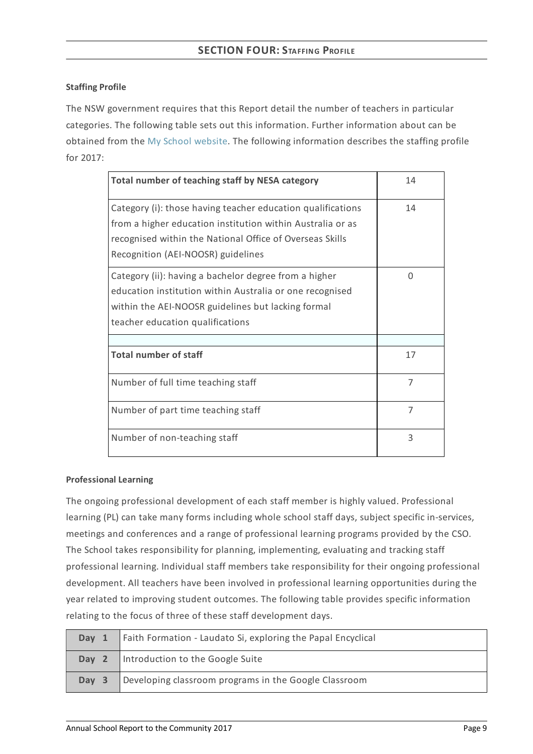# **Staffing Profile**

The NSW government requires that this Report detail the number of teachers in particular categories. The following table sets out this information. Further information about can be obtained from the My School [website](http://www.myschool.edu.au/). The following information describes the staffing profile for 2017:

| Total number of teaching staff by NESA category                                                                                                                                                                             | 14 |
|-----------------------------------------------------------------------------------------------------------------------------------------------------------------------------------------------------------------------------|----|
| Category (i): those having teacher education qualifications<br>from a higher education institution within Australia or as<br>recognised within the National Office of Overseas Skills<br>Recognition (AEI-NOOSR) guidelines | 14 |
| Category (ii): having a bachelor degree from a higher<br>education institution within Australia or one recognised<br>within the AEI-NOOSR guidelines but lacking formal<br>teacher education qualifications                 | 0  |
| <b>Total number of staff</b>                                                                                                                                                                                                | 17 |
| Number of full time teaching staff                                                                                                                                                                                          | 7  |
| Number of part time teaching staff                                                                                                                                                                                          | 7  |
| Number of non-teaching staff                                                                                                                                                                                                | 3  |

## **Professional Learning**

The ongoing professional development of each staff member is highly valued. Professional learning (PL) can take many forms including whole school staff days, subject specific in-services, meetings and conferences and a range of professional learning programs provided by the CSO. The School takes responsibility for planning, implementing, evaluating and tracking staff professional learning. Individual staff members take responsibility for their ongoing professional development. All teachers have been involved in professional learning opportunities during the year related to improving student outcomes. The following table provides specific information relating to the focus of three of these staff development days.

| Day 1 | Faith Formation - Laudato Si, exploring the Papal Encyclical |
|-------|--------------------------------------------------------------|
|       | <b>Day 2</b>   Introduction to the Google Suite              |
| Day 3 | Developing classroom programs in the Google Classroom        |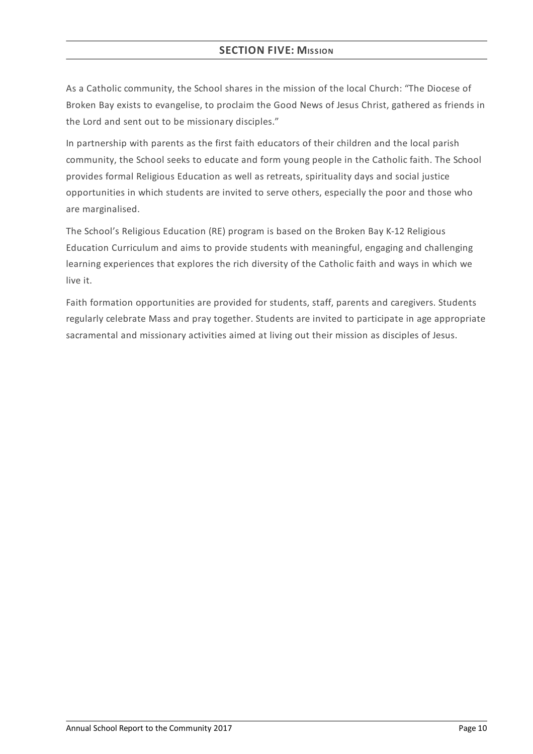# **SECTION FIVE: MISSION**

As a Catholic community, the School shares in the mission of the local Church: "The Diocese of Broken Bay exists to evangelise, to proclaim the Good News of Jesus Christ, gathered as friends in the Lord and sent out to be missionary disciples."

In partnership with parents as the first faith educators of their children and the local parish community, the School seeks to educate and form young people in the Catholic faith. The School provides formal Religious Education as well as retreats, spirituality days and social justice opportunities in which students are invited to serve others, especially the poor and those who are marginalised.

The School's Religious Education (RE) program is based on the Broken Bay K-12 Religious Education Curriculum and aims to provide students with meaningful, engaging and challenging learning experiences that explores the rich diversity of the Catholic faith and ways in which we live it.

Faith formation opportunities are provided for students, staff, parents and caregivers. Students regularly celebrate Mass and pray together. Students are invited to participate in age appropriate sacramental and missionary activities aimed at living out their mission as disciples of Jesus.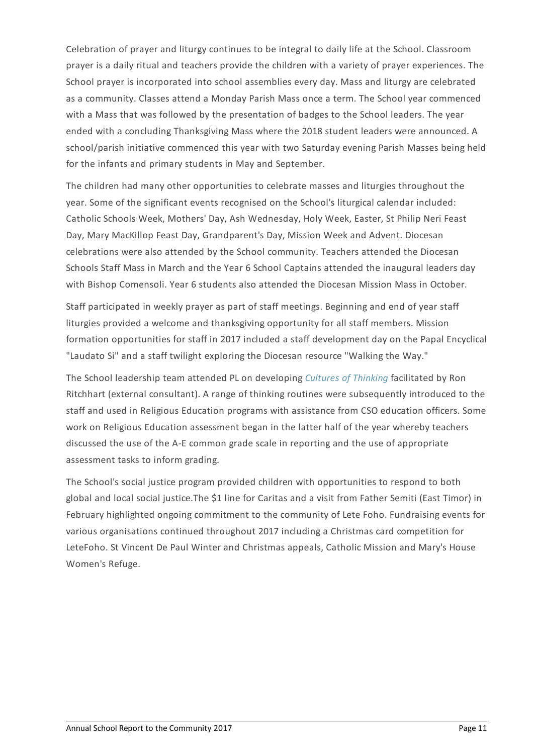Celebration of prayer and liturgy continues to be integral to daily life at the School. Classroom prayer is a daily ritual and teachers provide the children with a variety of prayer experiences. The School prayer is incorporated into school assemblies every day. Mass and liturgy are celebrated as a community. Classes attend a Monday Parish Mass once a term. The School year commenced with a Mass that was followed by the presentation of badges to the School leaders. The year ended with a concluding Thanksgiving Mass where the 2018 student leaders were announced. A school/parish initiative commenced this year with two Saturday evening Parish Masses being held for the infants and primary students in May and September.

The children had many other opportunities to celebrate masses and liturgies throughout the year. Some of the significant events recognised on the School's liturgical calendar included: Catholic Schools Week, Mothers' Day, Ash Wednesday, Holy Week, Easter, St Philip Neri Feast Day, Mary MacKillop Feast Day, Grandparent's Day, Mission Week and Advent. Diocesan celebrations were also attended by the School community. Teachers attended the Diocesan Schools Staff Mass in March and the Year 6 School Captains attended the inaugural leaders day with Bishop Comensoli. Year 6 students also attended the Diocesan Mission Mass in October.

Staff participated in weekly prayer as part of staff meetings. Beginning and end of year staff liturgies provided a welcome and thanksgiving opportunity for all staff members. Mission formation opportunities for staff in 2017 included a staff development day on the Papal Encyclical "Laudato Si" and a staff twilight exploring the Diocesan resource "Walking the Way."

The School leadership team attended PL on developing *Cultures of [Thinking](http://www.ronritchhart.com/ronritchhart.com/Welcome.html)* facilitated by Ron Ritchhart (external consultant). A range of thinking routines were subsequently introduced to the staff and used in Religious Education programs with assistance from CSO education officers. Some work on Religious Education assessment began in the latter half of the year whereby teachers discussed the use of the A-E common grade scale in reporting and the use of appropriate assessment tasks to inform grading.

The School's social justice program provided children with opportunities to respond to both global and local social justice.The \$1 line for Caritas and a visit from Father Semiti (East Timor) in February highlighted ongoing commitment to the community of Lete Foho. Fundraising events for various organisations continued throughout 2017 including a Christmas card competition for LeteFoho. St Vincent De Paul Winter and Christmas appeals, Catholic Mission and Mary's House Women's Refuge.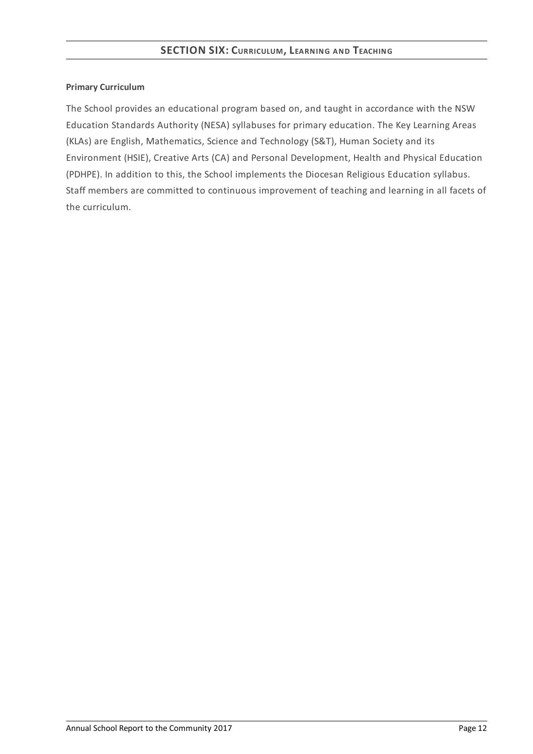## **Primary Curriculum**

The School provides an educational program based on, and taught in accordance with the NSW Education Standards Authority (NESA) syllabuses for primary education. The Key Learning Areas (KLAs) are English, Mathematics, Science and Technology (S&T), Human Society and its Environment (HSIE), Creative Arts (CA) and Personal Development, Health and Physical Education (PDHPE). In addition to this, the School implements the Diocesan Religious Education syllabus. Staff members are committed to continuous improvement of teaching and learning in all facets of the curriculum.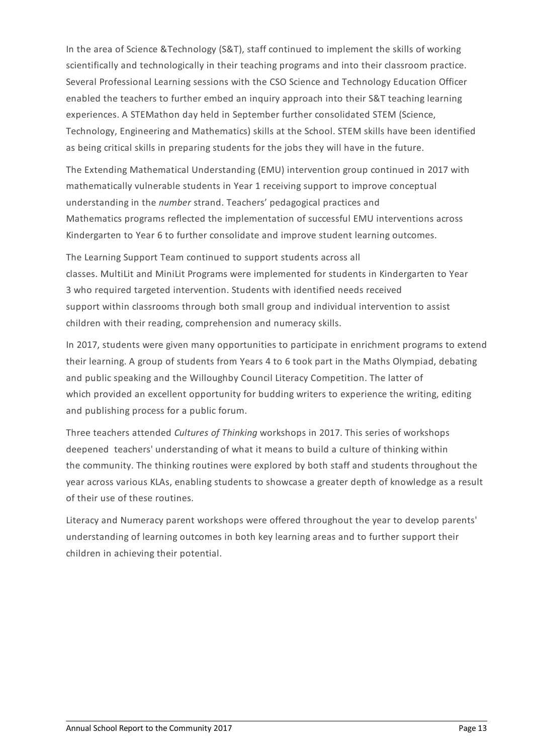In the area of Science &Technology (S&T), staff continued to implement the skills of working scientifically and technologically in their teaching programs and into their classroom practice. Several Professional Learning sessions with the CSO Science and Technology Education Officer enabled the teachers to further embed an inquiry approach into their S&T teaching learning experiences. A STEMathon day held in September further consolidated STEM (Science, Technology, Engineering and Mathematics) skills at the School. STEM skills have been identified as being critical skills in preparing students for the jobs they will have in the future.

The Extending Mathematical Understanding (EMU) intervention group continued in 2017 with mathematically vulnerable students in Year 1 receiving support to improve conceptual understanding in the *number* strand. Teachers' pedagogical practices and Mathematics programs reflected the implementation of successful EMU interventions across Kindergarten to Year 6 to further consolidate and improve student learning outcomes.

The Learning Support Team continued to support students across all classes. MultiLit and MiniLit Programs were implemented for students in Kindergarten to Year 3 who required targeted intervention. Students with identified needs received support within classrooms through both small group and individual intervention to assist children with their reading, comprehension and numeracy skills.

In 2017, students were given many opportunities to participate in enrichment programs to extend their learning. A group of students from Years 4 to 6 took part in the Maths Olympiad, debating and public speaking and the Willoughby Council Literacy Competition. The latter of which provided an excellent opportunity for budding writers to experience the writing, editing and publishing process for a public forum.

Three teachers attended *Cultures of Thinking* workshops in 2017. This series of workshops deepened teachers' understanding of what it means to build a culture of thinking within the community. The thinking routines were explored by both staff and students throughout the year across various KLAs, enabling students to showcase a greater depth of knowledge as a result of their use of these routines.

Literacy and Numeracy parent workshops were offered throughout the year to develop parents' understanding of learning outcomes in both key learning areas and to further support their children in achieving their potential.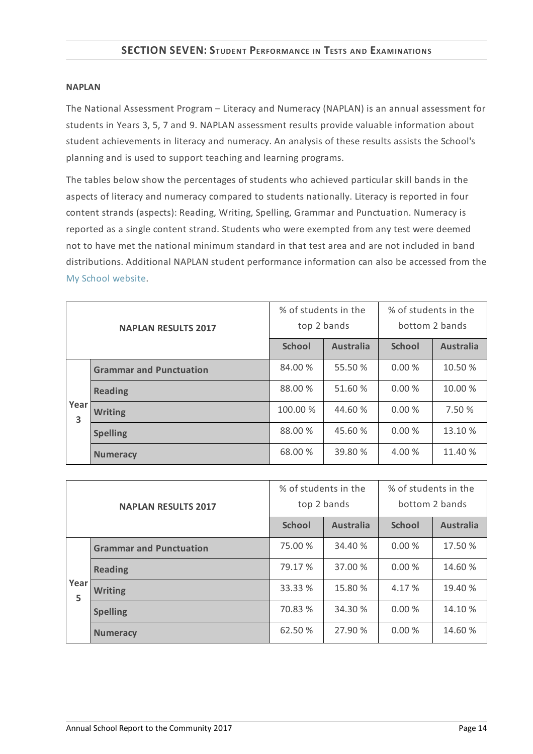#### **NAPLAN**

The National Assessment Program – Literacy and Numeracy (NAPLAN) is an annual assessment for students in Years 3, 5, 7 and 9. NAPLAN assessment results provide valuable information about student achievements in literacy and numeracy. An analysis of these results assists the School's planning and is used to support teaching and learning programs.

The tables below show the percentages of students who achieved particular skill bands in the aspects of literacy and numeracy compared to students nationally. Literacy is reported in four content strands (aspects): Reading, Writing, Spelling, Grammar and Punctuation. Numeracy is reported as a single content strand. Students who were exempted from any test were deemed not to have met the national minimum standard in that test area and are not included in band distributions. Additional NAPLAN student performance information can also be accessed from the My School [website](http://www.myschool.edu.au/).

| <b>NAPLAN RESULTS 2017</b> |                                | % of students in the<br>top 2 bands |                  | % of students in the<br>bottom 2 bands |                  |
|----------------------------|--------------------------------|-------------------------------------|------------------|----------------------------------------|------------------|
|                            |                                | <b>School</b>                       | <b>Australia</b> | <b>School</b>                          | <b>Australia</b> |
|                            | <b>Grammar and Punctuation</b> | 84.00 %                             | 55.50 %          | 0.00%                                  | 10.50 %          |
|                            | <b>Reading</b>                 | 88.00 %                             | 51.60 %          | 0.00%                                  | 10.00 %          |
| Year<br>3                  | <b>Writing</b>                 | 100.00 %                            | 44.60 %          | 0.00%                                  | 7.50 %           |
|                            | <b>Spelling</b>                | 88.00 %                             | 45.60 %          | 0.00%                                  | 13.10 %          |
|                            | <b>Numeracy</b>                | 68.00 %                             | 39.80 %          | 4.00 %                                 | 11.40 %          |

| <b>NAPLAN RESULTS 2017</b> |                                | % of students in the<br>top 2 bands |                  | % of students in the<br>bottom 2 bands |                  |
|----------------------------|--------------------------------|-------------------------------------|------------------|----------------------------------------|------------------|
|                            |                                | <b>School</b>                       | <b>Australia</b> | <b>School</b>                          | <b>Australia</b> |
|                            | <b>Grammar and Punctuation</b> | 75.00 %                             | 34.40 %          | 0.00%                                  | 17.50 %          |
|                            | <b>Reading</b>                 | 79.17 %                             | 37.00 %          | 0.00%                                  | 14.60 %          |
| Year<br>5                  | <b>Writing</b>                 | 33.33 %                             | 15.80 %          | 4.17 %                                 | 19.40 %          |
|                            | <b>Spelling</b>                | 70.83 %                             | 34.30 %          | 0.00%                                  | 14.10 %          |
|                            | <b>Numeracy</b>                | 62.50 %                             | 27.90 %          | 0.00%                                  | 14.60 %          |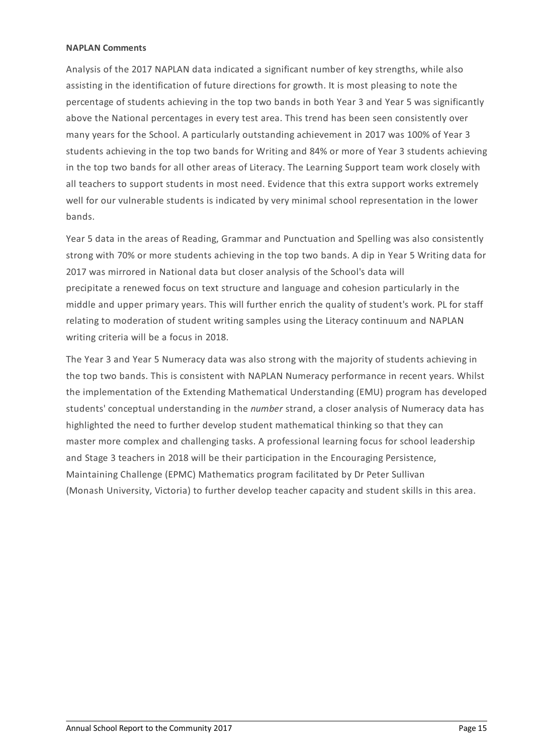#### **NAPLAN Comments**

Analysis of the 2017 NAPLAN data indicated a significant number of key strengths, while also assisting in the identification of future directions for growth. It is most pleasing to note the percentage of students achieving in the top two bands in both Year 3 and Year 5 was significantly above the National percentages in every test area. This trend has been seen consistently over many years for the School. A particularly outstanding achievement in 2017 was 100% of Year 3 students achieving in the top two bands for Writing and 84% or more of Year 3 students achieving in the top two bands for all other areas of Literacy. The Learning Support team work closely with all teachers to support students in most need. Evidence that this extra support works extremely well for our vulnerable students is indicated by very minimal school representation in the lower bands.

Year 5 data in the areas of Reading, Grammar and Punctuation and Spelling was also consistently strong with 70% or more students achieving in the top two bands. A dip in Year 5 Writing data for 2017 was mirrored in National data but closer analysis of the School's data will precipitate a renewed focus on text structure and language and cohesion particularly in the middle and upper primary years. This will further enrich the quality of student's work. PL for staff relating to moderation of student writing samples using the Literacy continuum and NAPLAN writing criteria will be a focus in 2018.

The Year 3 and Year 5 Numeracy data was also strong with the majority of students achieving in the top two bands. This is consistent with NAPLAN Numeracy performance in recent years. Whilst the implementation of the Extending Mathematical Understanding (EMU) program has developed students' conceptual understanding in the *number* strand, a closer analysis of Numeracy data has highlighted the need to further develop student mathematical thinking so that they can master more complex and challenging tasks. A professional learning focus for school leadership and Stage 3 teachers in 2018 will be their participation in the Encouraging Persistence, Maintaining Challenge (EPMC) Mathematics program facilitated by Dr Peter Sullivan (Monash University, Victoria) to further develop teacher capacity and student skills in this area.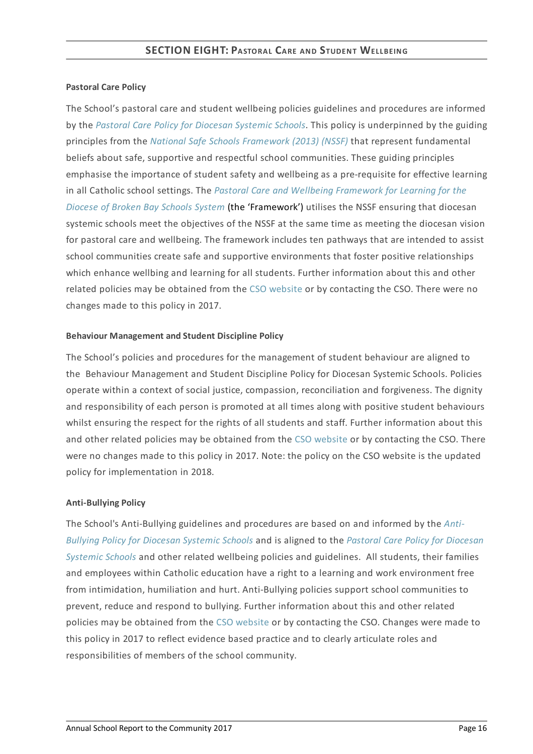## **Pastoral Care Policy**

The School's pastoral care and student wellbeing policies guidelines and procedures are informed by the *Pastoral Care Policy for [Diocesan](https://www.csodbb.catholic.edu.au/about/dsp-collection.cfm?loadref=125) Systemic Schools*. This policy is underpinned by the guiding principles from the *National Safe Schools [Framework](https://www.education.gov.au/national-safe-schools-framework-0) (2013) (NSSF)* that represent fundamental beliefs about safe, supportive and respectful school communities. These guiding principles emphasise the importance of student safety and wellbeing as a pre-requisite for effective learning in all Catholic school settings. The *Pastoral Care and Wellbeing Framework for Learning for the Diocese of Broken Bay Schools System* (the ['Framework'\)](https://www.csodbb.catholic.edu.au/studentwellbeing/dsp-default.cfm?loadref=140) utilises the NSSF ensuring that diocesan systemic schools meet the objectives of the NSSF at the same time as meeting the diocesan vision for pastoral care and wellbeing. The framework includes ten pathways that are intended to assist school communities create safe and supportive environments that foster positive relationships which enhance wellbing and learning for all students. Further information about this and other related policies may be obtained from the CSO [website](https://www.csodbb.catholic.edu.au/about/dsp-collection.cfm?loadref=125) or by contacting the CSO. There were no changes made to this policy in 2017.

## **Behaviour Management and Student Discipline Policy**

The School's policies and procedures for the management of student behaviour are aligned to the Behaviour Management and Student Discipline Policy for Diocesan Systemic Schools. Policies operate within a context of social justice, compassion, reconciliation and forgiveness. The dignity and responsibility of each person is promoted at all times along with positive student behaviours whilst ensuring the respect for the rights of all students and staff. Further information about this and other related policies may be obtained from the CSO [website](https://www.csodbb.catholic.edu.au/about/dsp-collection.cfm?loadref=125) or by contacting the CSO. There were no changes made to this policy in 2017. Note: the policy on the CSO website is the updated policy for implementation in 2018.

## **Anti-Bullying Policy**

The School's [Anti-Bullying](https://www.csodbb.catholic.edu.au/about/dsp-collection.cfm?loadref=125) guidelines and procedures are based on and informed by the *Anti-Bullying Policy for Diocesan Systemic Schools* and is aligned to the *Pastoral Care Policy for Diocesan Systemic Schools* and other related wellbeing policies and [guidelines.](https://www.csodbb.catholic.edu.au/about/dsp-collection.cfm?loadref=125) All students, their families and employees within Catholic education have a right to a learning and work environment free from intimidation, humiliation and hurt. Anti-Bullying policies support school communities to prevent, reduce and respond to bullying. Further information about this and other related policies may be obtained from the CSO [website](https://www.csodbb.catholic.edu.au/about/dsp-collection.cfm?loadref=125) or by contacting the CSO. Changes were made to this policy in 2017 to reflect evidence based practice and to clearly articulate roles and responsibilities of members of the school community.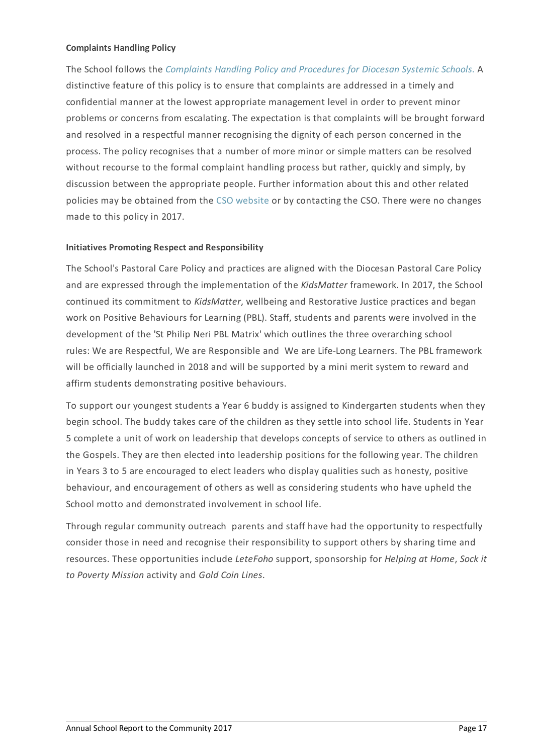## **Complaints Handling Policy**

The School follows the *[Complaints](https://www.csodbb.catholic.edu.au/about/dsp-collection.cfm?loadref=125) Handling Policy and Procedures for Diocesan Systemic Schools.* A distinctive feature of this policy is to ensure that complaints are addressed in a timely and confidential manner at the lowest appropriate management level in order to prevent minor problems or concerns from escalating. The expectation is that complaints will be brought forward and resolved in a respectful manner recognising the dignity of each person concerned in the process. The policy recognises that a number of more minor or simple matters can be resolved without recourse to the formal complaint handling process but rather, quickly and simply, by discussion between the appropriate people. Further information about this and other related policies may be obtained from the CSO [website](https://www.csodbb.catholic.edu.au/about/dsp-collection.cfm?loadref=125) or by contacting the CSO. There were no changes made to this policy in 2017.

## **Initiatives Promoting Respect and Responsibility**

The School's Pastoral Care Policy and practices are aligned with the Diocesan Pastoral Care Policy and are expressed through the implementation of the *KidsMatter* framework. In 2017, the School continued its commitment to *KidsMatter*, wellbeing and Restorative Justice practices and began work on Positive Behaviours for Learning (PBL). Staff, students and parents were involved in the development of the 'St Philip Neri PBL Matrix' which outlines the three overarching school rules: We are Respectful, We are Responsible and We are Life-Long Learners. The PBL framework will be officially launched in 2018 and will be supported by a mini merit system to reward and affirm students demonstrating positive behaviours.

To support our youngest students a Year 6 buddy is assigned to Kindergarten students when they begin school. The buddy takes care of the children as they settle into school life. Students in Year 5 complete a unit of work on leadership that develops concepts of service to others as outlined in the Gospels. They are then elected into leadership positions for the following year. The children in Years 3 to 5 are encouraged to elect leaders who display qualities such as honesty, positive behaviour, and encouragement of others as well as considering students who have upheld the School motto and demonstrated involvement in school life.

Through regular community outreach parents and staff have had the opportunity to respectfully consider those in need and recognise their responsibility to support others by sharing time and resources. These opportunities include *LeteFoho* support, sponsorship for *Helping at Home*, *Sock it to Poverty Mission* activity and *Gold Coin Lines*.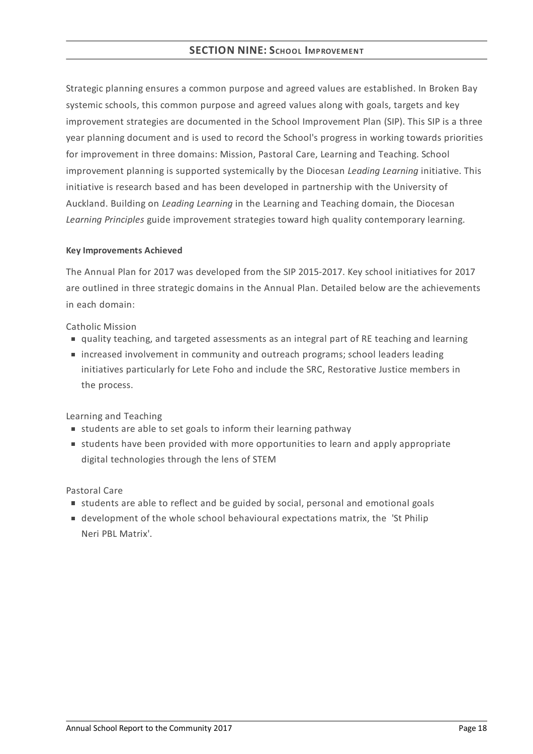Strategic planning ensures a common purpose and agreed values are established. In Broken Bay systemic schools, this common purpose and agreed values along with goals, targets and key improvement strategies are documented in the School Improvement Plan (SIP). This SIP is a three year planning document and is used to record the School's progress in working towards priorities for improvement in three domains: Mission, Pastoral Care, Learning and Teaching. School improvement planning is supported systemically by the Diocesan *Leading Learning* initiative. This initiative is research based and has been developed in partnership with the University of Auckland. Building on *Leading Learning* in the Learning and Teaching domain, the Diocesan *Learning Principles* guide improvement strategies toward high quality contemporary learning.

## **KeyImprovements Achieved**

The Annual Plan for 2017 was developed from the SIP 2015-2017. Key school initiatives for 2017 are outlined in three strategic domains in the Annual Plan. Detailed below are the achievements in each domain:

Catholic Mission

- quality teaching, and targeted assessments as an integral part of RE teaching and learning
- increased involvement in community and outreach programs; school leaders leading initiatives particularly for Lete Foho and include the SRC, Restorative Justice members in the process.

Learning and Teaching

- students are able to set goals to inform their learning pathway
- students have been provided with more opportunities to learn and apply appropriate digital technologies through the lens of STEM

Pastoral Care

- students are able to reflect and be guided by social, personal and emotional goals
- development of the whole school behavioural expectations matrix, the 'St Philip Neri PBL Matrix'.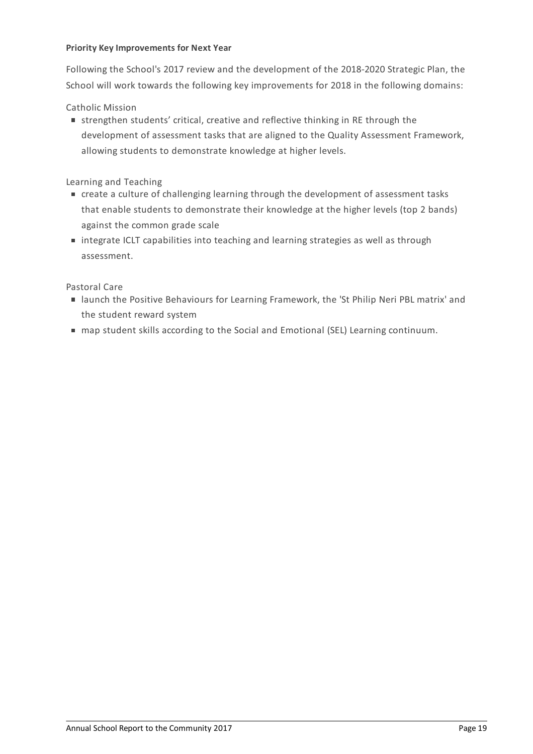## **Priority KeyImprovements for Next Year**

Following the School's 2017 review and the development of the 2018-2020 Strategic Plan, the School will work towards the following key improvements for 2018 in the following domains:

Catholic Mission

strengthen students' critical, creative and reflective thinking in RE through the development of assessment tasks that are aligned to the Quality Assessment Framework, allowing students to demonstrate knowledge at higher levels.

Learning and Teaching

- create a culture of challenging learning through the development of assessment tasks that enable students to demonstrate their knowledge at the higher levels (top 2 bands) against the common grade scale
- integrate ICLT capabilities into teaching and learning strategies as well as through assessment.

Pastoral Care

- launch the Positive Behaviours for Learning Framework, the 'St Philip Neri PBL matrix' and the student reward system
- map student skills according to the Social and Emotional (SEL) Learning continuum.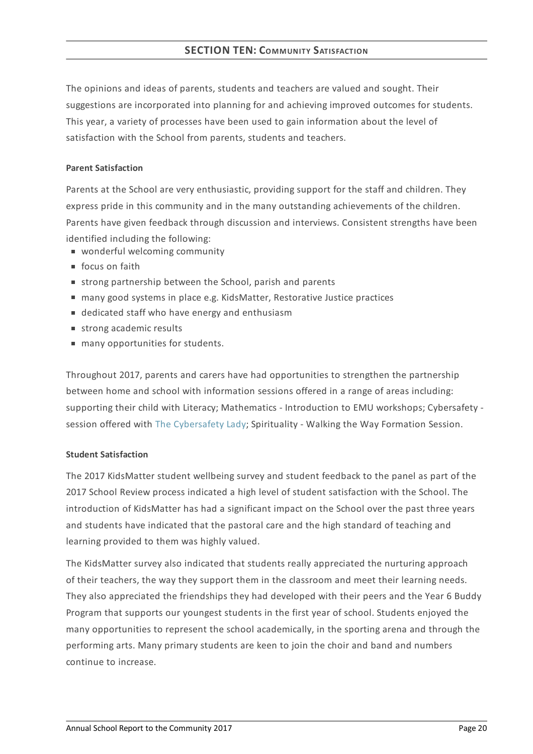# **SECTION TEN: COMMUNITY SATISFACTION**

The opinions and ideas of parents, students and teachers are valued and sought. Their suggestions are incorporated into planning for and achieving improved outcomes for students. This year, a variety of processes have been used to gain information about the level of satisfaction with the School from parents, students and teachers.

## **Parent Satisfaction**

Parents at the School are very enthusiastic, providing support for the staff and children. They express pride in this community and in the many outstanding achievements of the children. Parents have given feedback through discussion and interviews. Consistent strengths have been identified including the following:

- **wonderful welcoming community**
- focus on faith
- strong partnership between the School, parish and parents
- many good systems in place e.g. KidsMatter, Restorative Justice practices
- dedicated staff who have energy and enthusiasm
- strong academic results
- $\blacksquare$  many opportunities for students.

Throughout 2017, parents and carers have had opportunities to strengthen the partnership between home and school with information sessions offered in a range of areas including: supporting their child with Literacy; Mathematics - Introduction to EMU workshops; Cybersafety session offered with The [Cybersafety](https://thecybersafetylady.com.au/) Lady; Spirituality - Walking the Way Formation Session.

#### **Student Satisfaction**

The 2017 KidsMatter student wellbeing survey and student feedback to the panel as part of the 2017 School Review process indicated a high level of student satisfaction with the School. The introduction of KidsMatter has had a significant impact on the School over the past three years and students have indicated that the pastoral care and the high standard of teaching and learning provided to them was highly valued.

The KidsMatter survey also indicated that students really appreciated the nurturing approach of their teachers, the way they support them in the classroom and meet their learning needs. They also appreciated the friendships they had developed with their peers and the Year 6 Buddy Program that supports our youngest students in the first year of school. Students enjoyed the many opportunities to represent the school academically, in the sporting arena and through the performing arts. Many primary students are keen to join the choir and band and numbers continue to increase.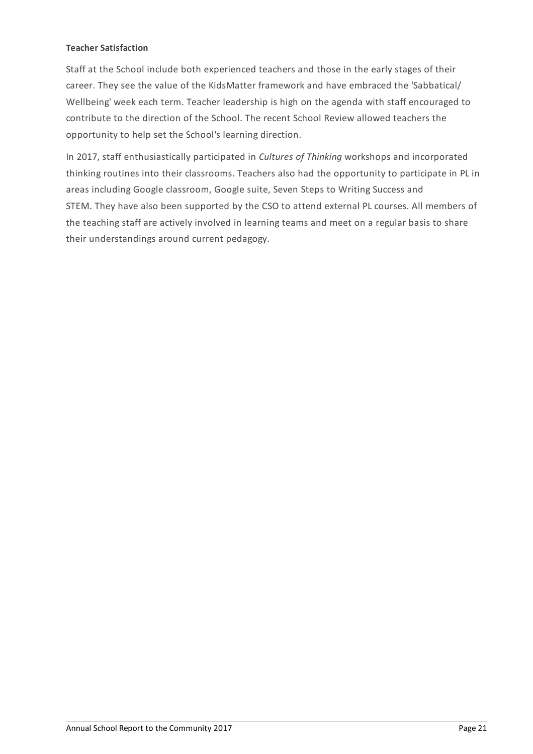## **Teacher Satisfaction**

Staff at the School include both experienced teachers and those in the early stages of their career. They see the value of the KidsMatter framework and have embraced the 'Sabbatical/ Wellbeing' week each term. Teacher leadership is high on the agenda with staff encouraged to contribute to the direction of the School. The recent School Review allowed teachers the opportunity to help set the School's learning direction.

In 2017, staff enthusiastically participated in *Cultures of Thinking* workshops and incorporated thinking routines into their classrooms. Teachers also had the opportunity to participate in PL in areas including Google classroom, Google suite, Seven Steps to Writing Success and STEM. They have also been supported by the CSO to attend external PL courses. All members of the teaching staff are actively involved in learning teams and meet on a regular basis to share their understandings around current pedagogy.